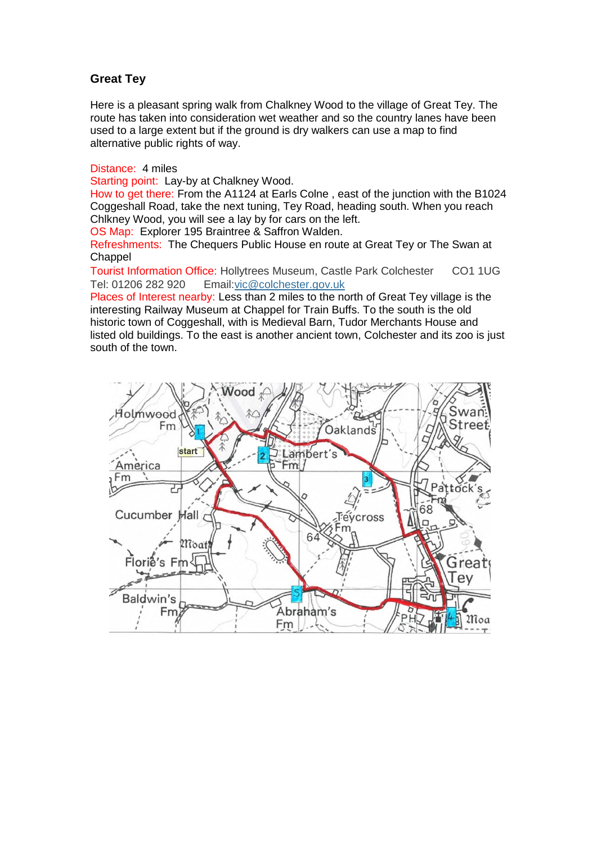## **Great Tey**

Here is a pleasant spring walk from Chalkney Wood to the village of Great Tey. The route has taken into consideration wet weather and so the country lanes have been used to a large extent but if the ground is dry walkers can use a map to find alternative public rights of way.

Distance: 4 miles

Starting point: Lay-by at Chalkney Wood.

How to get there: From the A1124 at Earls Colne , east of the junction with the B1024 Coggeshall Road, take the next tuning, Tey Road, heading south. When you reach Chlkney Wood, you will see a lay by for cars on the left.

OS Map: Explorer 195 Braintree & Saffron Walden.

Refreshments: The Chequers Public House en route at Great Tey or The Swan at **Chappel** 

Tourist Information Office: Hollytrees Museum, Castle Park Colchester CO1 1UG Tel: 01206 282 920 Email[:vic@colchester.gov.uk](mailto:vic@colchester.gov.uk)

Places of Interest nearby: Less than 2 miles to the north of Great Tey village is the interesting Railway Museum at Chappel for Train Buffs. To the south is the old historic town of Coggeshall, with is Medieval Barn, Tudor Merchants House and listed old buildings. To the east is another ancient town, Colchester and its zoo is just south of the town.

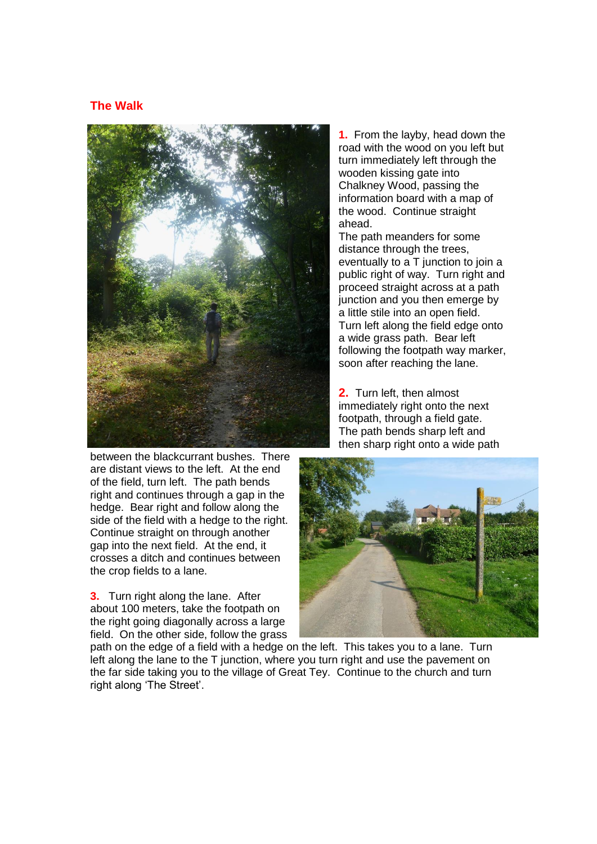## **The Walk**



between the blackcurrant bushes. There are distant views to the left. At the end of the field, turn left. The path bends right and continues through a gap in the hedge. Bear right and follow along the side of the field with a hedge to the right. Continue straight on through another gap into the next field. At the end, it crosses a ditch and continues between the crop fields to a lane.

**3.** Turn right along the lane. After about 100 meters, take the footpath on the right going diagonally across a large field. On the other side, follow the grass **1.** From the layby, head down the road with the wood on you left but turn immediately left through the wooden kissing gate into Chalkney Wood, passing the information board with a map of the wood. Continue straight ahead.

The path meanders for some distance through the trees, eventually to a T junction to join a public right of way. Turn right and proceed straight across at a path junction and you then emerge by a little stile into an open field. Turn left along the field edge onto a wide grass path. Bear left following the footpath way marker, soon after reaching the lane.

**2.** Turn left, then almost immediately right onto the next footpath, through a field gate. The path bends sharp left and then sharp right onto a wide path



path on the edge of a field with a hedge on the left. This takes you to a lane. Turn left along the lane to the T junction, where you turn right and use the pavement on the far side taking you to the village of Great Tey. Continue to the church and turn right along 'The Street'.